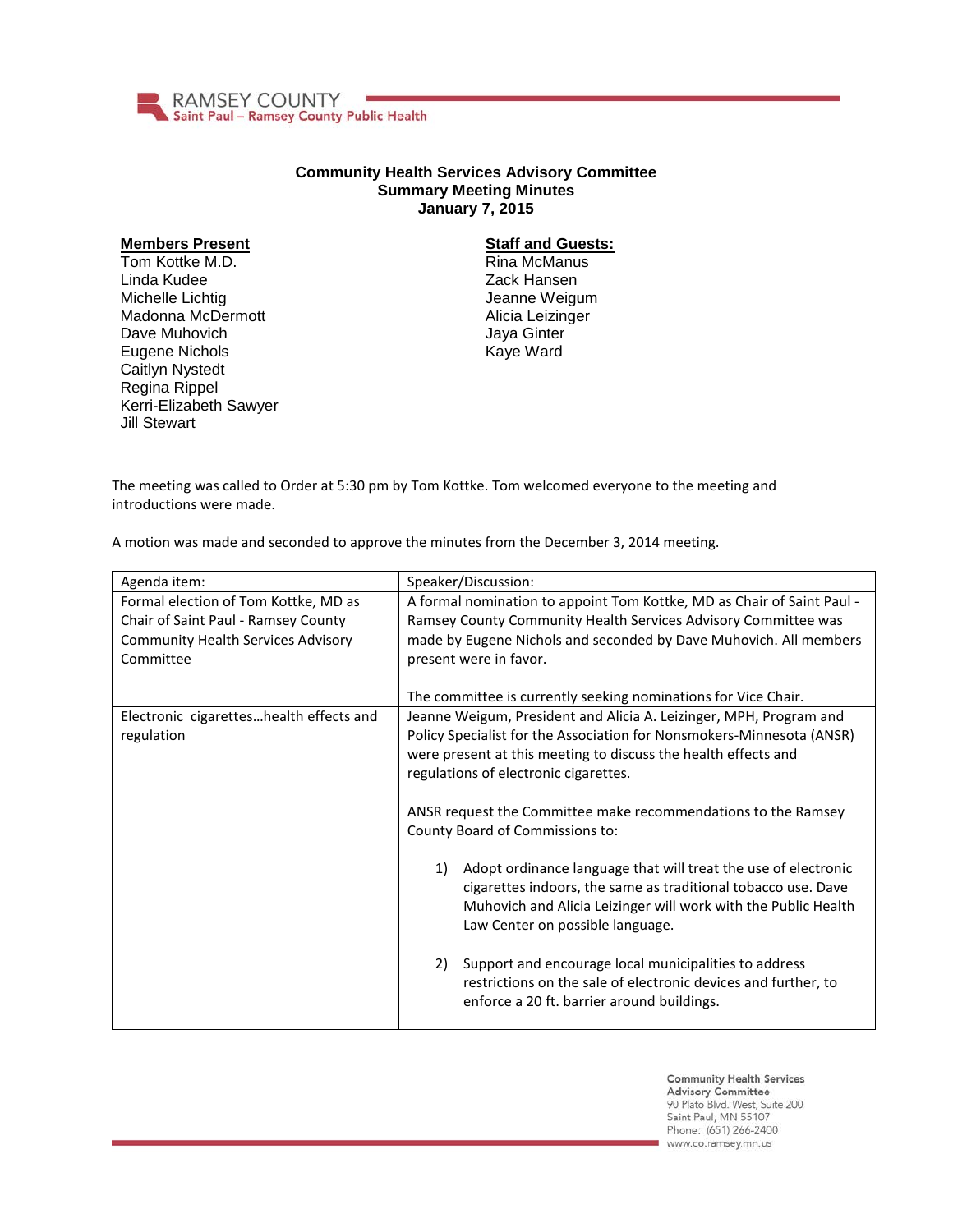

## **Community Health Services Advisory Committee Summary Meeting Minutes January 7, 2015**

## **Members Present**

Tom Kottke M.D. Linda Kudee Michelle Lichtig Madonna McDermott Dave Muhovich Eugene Nichols Caitlyn Nystedt Regina Rippel Kerri-Elizabeth Sawyer Jill Stewart

## **Staff and Guests:**

Rina McManus Zack Hansen Jeanne Weigum Alicia Leizinger Jaya Ginter Kaye Ward

The meeting was called to Order at 5:30 pm by Tom Kottke. Tom welcomed everyone to the meeting and introductions were made.

A motion was made and seconded to approve the minutes from the December 3, 2014 meeting.

| Agenda item:                              | Speaker/Discussion:                                                                                                             |
|-------------------------------------------|---------------------------------------------------------------------------------------------------------------------------------|
| Formal election of Tom Kottke, MD as      | A formal nomination to appoint Tom Kottke, MD as Chair of Saint Paul -                                                          |
| Chair of Saint Paul - Ramsey County       | Ramsey County Community Health Services Advisory Committee was                                                                  |
| <b>Community Health Services Advisory</b> | made by Eugene Nichols and seconded by Dave Muhovich. All members                                                               |
| Committee                                 | present were in favor.                                                                                                          |
|                                           |                                                                                                                                 |
|                                           | The committee is currently seeking nominations for Vice Chair.                                                                  |
| Electronic cigaretteshealth effects and   | Jeanne Weigum, President and Alicia A. Leizinger, MPH, Program and                                                              |
| regulation                                | Policy Specialist for the Association for Nonsmokers-Minnesota (ANSR)                                                           |
|                                           | were present at this meeting to discuss the health effects and                                                                  |
|                                           | regulations of electronic cigarettes.                                                                                           |
|                                           |                                                                                                                                 |
|                                           | ANSR request the Committee make recommendations to the Ramsey                                                                   |
|                                           | County Board of Commissions to:                                                                                                 |
|                                           | 1)                                                                                                                              |
|                                           | Adopt ordinance language that will treat the use of electronic<br>cigarettes indoors, the same as traditional tobacco use. Dave |
|                                           | Muhovich and Alicia Leizinger will work with the Public Health                                                                  |
|                                           | Law Center on possible language.                                                                                                |
|                                           |                                                                                                                                 |
|                                           | Support and encourage local municipalities to address<br>2)                                                                     |
|                                           | restrictions on the sale of electronic devices and further, to                                                                  |
|                                           | enforce a 20 ft. barrier around buildings.                                                                                      |
|                                           |                                                                                                                                 |

**Community Health Services Advisory Committee** 90 Plato Blvd. West, Suite 200 Saint Paul, MN 55107 Phone: (651) 266-2400 www.co.ramsey.mn.us